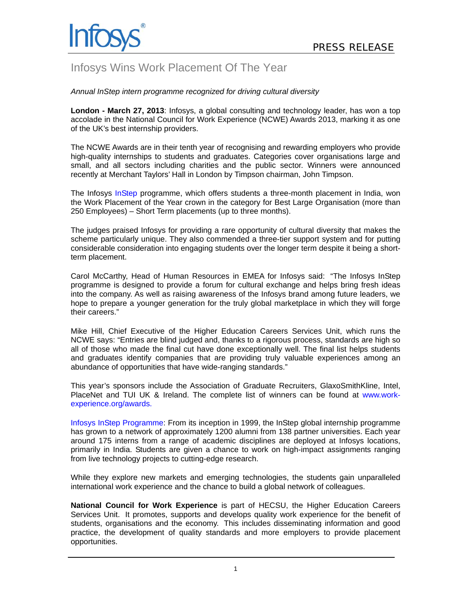

## Infosys Wins Work Placement Of The Year

*Annual InStep intern programme recognized for driving cultural diversity* 

**London - March 27, 2013**: Infosys, a global consulting and technology leader, has won a top accolade in the National Council for Work Experience (NCWE) Awards 2013, marking it as one of the UK's best internship providers.

The NCWE Awards are in their tenth year of recognising and rewarding employers who provide high-quality internships to students and graduates. Categories cover organisations large and small, and all sectors including charities and the public sector. Winners were announced recently at Merchant Taylors' Hall in London by Timpson chairman, John Timpson.

The Infosys [InStep](http://www.infosys.com/instep/default.asp) programme, which offers students a three-month placement in India, won the Work Placement of the Year crown in the category for Best Large Organisation (more than 250 Employees) – Short Term placements (up to three months).

The judges praised Infosys for providing a rare opportunity of cultural diversity that makes the scheme particularly unique. They also commended a three-tier support system and for putting considerable consideration into engaging students over the longer term despite it being a shortterm placement.

Carol McCarthy, Head of Human Resources in EMEA for Infosys said: "The Infosys InStep programme is designed to provide a forum for cultural exchange and helps bring fresh ideas into the company. As well as raising awareness of the Infosys brand among future leaders, we hope to prepare a younger generation for the truly global marketplace in which they will forge their careers."

Mike Hill, Chief Executive of the Higher Education Careers Services Unit, which runs the NCWE says: "Entries are blind judged and, thanks to a rigorous process, standards are high so all of those who made the final cut have done exceptionally well. The final list helps students and graduates identify companies that are providing truly valuable experiences among an abundance of opportunities that have wide-ranging standards."

This year's sponsors include the Association of Graduate Recruiters, GlaxoSmithKline, Intel, PlaceNet and TUI UK & Ireland. The complete list of winners can be found at [www.work](http://www.work-experience.org/awards)[experience.org/awards.](http://www.work-experience.org/awards) 

[Infosys InStep Programme](http://www.infosys.com/instep/default.asp): From its inception in 1999, the InStep global internship programme has grown to a network of approximately 1200 alumni from 138 partner universities. Each year around 175 interns from a range of academic disciplines are deployed at Infosys locations, primarily in India. Students are given a chance to work on high-impact assignments ranging from live technology projects to cutting-edge research.

While they explore new markets and emerging technologies, the students gain unparalleled international work experience and the chance to build a global network of colleagues.

**National Council for Work Experience** is part of HECSU, the Higher Education Careers Services Unit. It promotes, supports and develops quality work experience for the benefit of students, organisations and the economy. This includes disseminating information and good practice, the development of quality standards and more employers to provide placement opportunities.